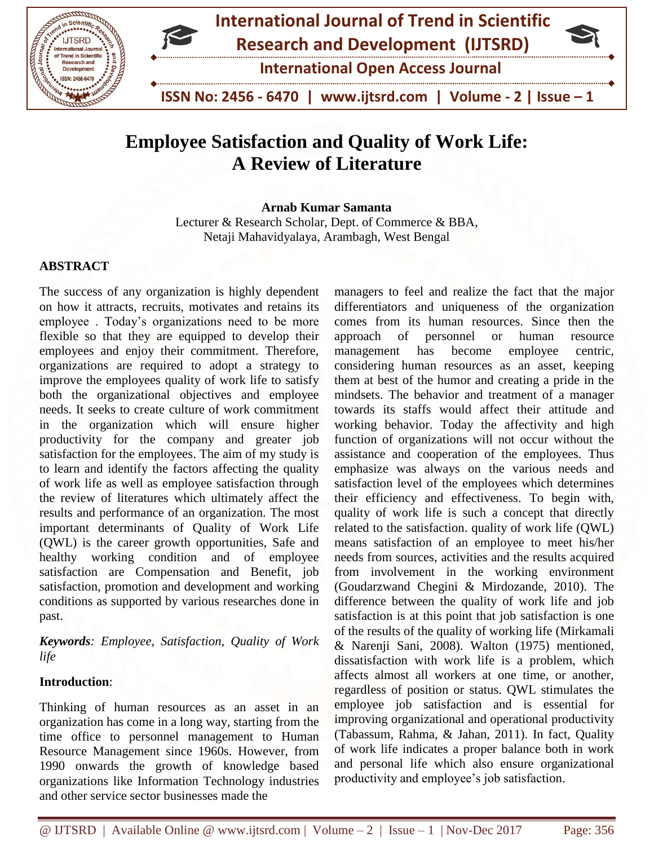



 **ISSN No: 2456 - 6470 | www.ijtsrd.com | Volume - 2 | Issue – 1**

# **Employee Satisfaction and Quality of Work Life: A Review of Literature**

# **Arnab Kumar Samanta**

Lecturer & Research Scholar, Dept. of Commerce & BBA, Netaji Mahavidyalaya, Arambagh, West Bengal

#### **ABSTRACT**

The success of any organization is highly dependent on how it attracts, recruits, motivates and retains its employee . Today's organizations need to be more flexible so that they are equipped to develop their employees and enjoy their commitment. Therefore, organizations are required to adopt a strategy to improve the employees quality of work life to satisfy both the organizational objectives and employee needs. It seeks to create culture of work commitment in the organization which will ensure higher productivity for the company and greater job satisfaction for the employees. The aim of my study is to learn and identify the factors affecting the quality of work life as well as employee satisfaction through the review of literatures which ultimately affect the results and performance of an organization. The most important determinants of Quality of Work Life (QWL) is the career growth opportunities, Safe and healthy working condition and of employee satisfaction are Compensation and Benefit, job satisfaction, promotion and development and working conditions as supported by various researches done in past.

*Keywords: Employee, Satisfaction, Quality of Work life*

#### **Introduction**:

Thinking of human resources as an asset in an organization has come in a long way, starting from the time office to personnel management to Human Resource Management since 1960s. However, from 1990 onwards the growth of knowledge based organizations like Information Technology industries and other service sector businesses made the

managers to feel and realize the fact that the major differentiators and uniqueness of the organization comes from its human resources. Since then the approach of personnel or human resource management has become employee centric, considering human resources as an asset, keeping them at best of the humor and creating a pride in the mindsets. The behavior and treatment of a manager towards its staffs would affect their attitude and working behavior. Today the affectivity and high function of organizations will not occur without the assistance and cooperation of the employees. Thus emphasize was always on the various needs and satisfaction level of the employees which determines their efficiency and effectiveness. To begin with, quality of work life is such a concept that directly related to the satisfaction. quality of work life (QWL) means satisfaction of an employee to meet his/her needs from sources, activities and the results acquired from involvement in the working environment (Goudarzwand Chegini & Mirdozande, 2010). The difference between the quality of work life and job satisfaction is at this point that job satisfaction is one of the results of the quality of working life (Mirkamali & Narenji Sani, 2008). Walton (1975) mentioned, dissatisfaction with work life is a problem, which affects almost all workers at one time, or another, regardless of position or status. QWL stimulates the employee job satisfaction and is essential for improving organizational and operational productivity (Tabassum, Rahma, & Jahan, 2011). In fact, Quality of work life indicates a proper balance both in work and personal life which also ensure organizational productivity and employee's job satisfaction.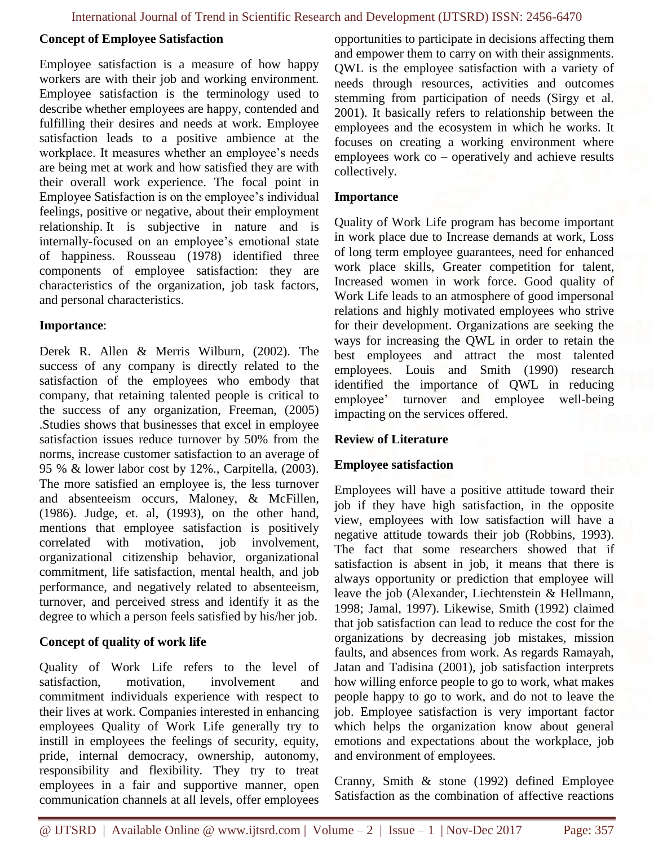#### **Concept of Employee Satisfaction**

Employee satisfaction is a measure of how happy workers are with their job and working environment. Employee satisfaction is the terminology used to describe whether employees are happy, contended and fulfilling their desires and needs at work. Employee satisfaction leads to a positive ambience at the workplace. It measures whether an employee's needs are being met at work and how satisfied they are with their overall work experience. The focal point in Employee Satisfaction is on the employee's individual feelings, positive or negative, about their employment relationship. It is subjective in nature and is internally-focused on an employee's emotional state of happiness. Rousseau (1978) identified three components of employee satisfaction: they are characteristics of the organization, job task factors, and personal characteristics.

#### **Importance**:

Derek R. Allen & Merris Wilburn, (2002). The success of any company is directly related to the satisfaction of the employees who embody that company, that retaining talented people is critical to the success of any organization, Freeman, (2005) .Studies shows that businesses that excel in employee satisfaction issues reduce turnover by 50% from the norms, increase customer satisfaction to an average of 95 % & lower labor cost by 12%., Carpitella, (2003). The more satisfied an employee is, the less turnover and absenteeism occurs, Maloney, & McFillen, (1986). Judge, et. al, (1993), on the other hand, mentions that employee satisfaction is positively correlated with motivation, job involvement, organizational citizenship behavior, organizational commitment, life satisfaction, mental health, and job performance, and negatively related to absenteeism, turnover, and perceived stress and identify it as the degree to which a person feels satisfied by his/her job.

## **Concept of quality of work life**

Quality of Work Life refers to the level of satisfaction, motivation, involvement and commitment individuals experience with respect to their lives at work. Companies interested in enhancing employees Quality of Work Life generally try to instill in employees the feelings of security, equity, pride, internal democracy, ownership, autonomy, responsibility and flexibility. They try to treat employees in a fair and supportive manner, open communication channels at all levels, offer employees opportunities to participate in decisions affecting them and empower them to carry on with their assignments. QWL is the employee satisfaction with a variety of needs through resources, activities and outcomes stemming from participation of needs (Sirgy et al. 2001). It basically refers to relationship between the employees and the ecosystem in which he works. It focuses on creating a working environment where employees work co – operatively and achieve results collectively.

#### **Importance**

Quality of Work Life program has become important in work place due to Increase demands at work, Loss of long term employee guarantees, need for enhanced work place skills, Greater competition for talent, Increased women in work force. Good quality of Work Life leads to an atmosphere of good impersonal relations and highly motivated employees who strive for their development. Organizations are seeking the ways for increasing the QWL in order to retain the best employees and attract the most talented employees. Louis and Smith (1990) research identified the importance of QWL in reducing employee' turnover and employee well-being impacting on the services offered.

#### **Review of Literature**

#### **Employee satisfaction**

Employees will have a positive attitude toward their job if they have high satisfaction, in the opposite view, employees with low satisfaction will have a negative attitude towards their job (Robbins, 1993). The fact that some researchers showed that if satisfaction is absent in job, it means that there is always opportunity or prediction that employee will leave the job (Alexander, Liechtenstein & Hellmann, 1998; Jamal, 1997). Likewise, Smith (1992) claimed that job satisfaction can lead to reduce the cost for the organizations by decreasing job mistakes, mission faults, and absences from work. As regards Ramayah, Jatan and Tadisina (2001), job satisfaction interprets how willing enforce people to go to work, what makes people happy to go to work, and do not to leave the job. Employee satisfaction is very important factor which helps the organization know about general emotions and expectations about the workplace, job and environment of employees.

Cranny, Smith & stone (1992) defined Employee Satisfaction as the combination of affective reactions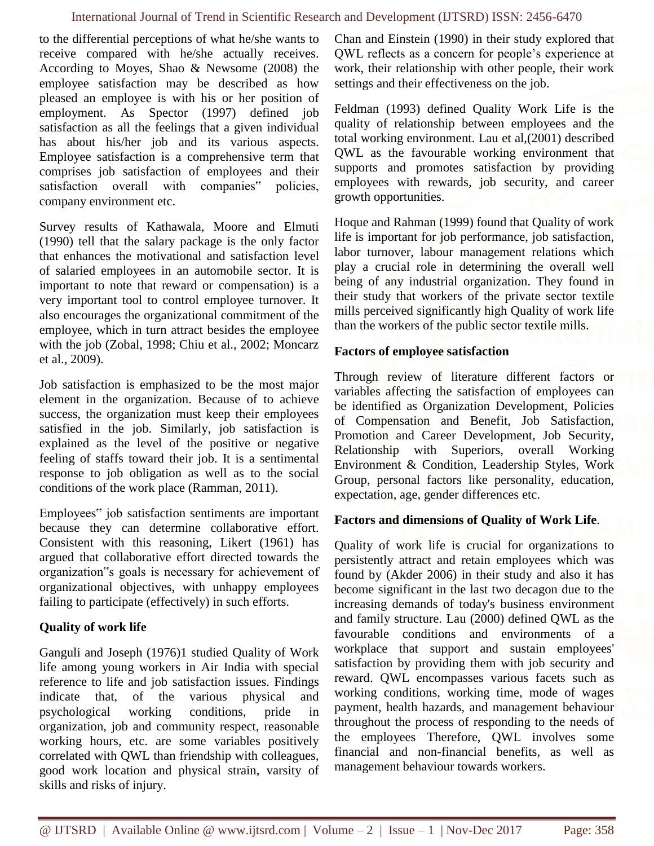to the differential perceptions of what he/she wants to receive compared with he/she actually receives. According to Moyes, Shao & Newsome (2008) the employee satisfaction may be described as how pleased an employee is with his or her position of employment. As Spector (1997) defined job satisfaction as all the feelings that a given individual has about his/her job and its various aspects. Employee satisfaction is a comprehensive term that comprises job satisfaction of employees and their satisfaction overall with companies" policies, company environment etc.

Survey results of Kathawala, Moore and Elmuti (1990) tell that the salary package is the only factor that enhances the motivational and satisfaction level of salaried employees in an automobile sector. It is important to note that reward or compensation) is a very important tool to control employee turnover. It also encourages the organizational commitment of the employee, which in turn attract besides the employee with the job (Zobal, 1998; Chiu et al., 2002; Moncarz et al., 2009).

Job satisfaction is emphasized to be the most major element in the organization. Because of to achieve success, the organization must keep their employees satisfied in the job. Similarly, job satisfaction is explained as the level of the positive or negative feeling of staffs toward their job. It is a sentimental response to job obligation as well as to the social conditions of the work place (Ramman, 2011).

Employees" job satisfaction sentiments are important because they can determine collaborative effort. Consistent with this reasoning, Likert (1961) has argued that collaborative effort directed towards the organization"s goals is necessary for achievement of organizational objectives, with unhappy employees failing to participate (effectively) in such efforts.

# **Quality of work life**

Ganguli and Joseph (1976)1 studied Quality of Work life among young workers in Air India with special reference to life and job satisfaction issues. Findings indicate that, of the various physical and psychological working conditions, pride in organization, job and community respect, reasonable working hours, etc. are some variables positively correlated with QWL than friendship with colleagues, good work location and physical strain, varsity of skills and risks of injury.

Chan and Einstein (1990) in their study explored that QWL reflects as a concern for people's experience at work, their relationship with other people, their work settings and their effectiveness on the job.

Feldman (1993) defined Quality Work Life is the quality of relationship between employees and the total working environment. Lau et al,(2001) described QWL as the favourable working environment that supports and promotes satisfaction by providing employees with rewards, job security, and career growth opportunities.

Hoque and Rahman (1999) found that Quality of work life is important for job performance, job satisfaction, labor turnover, labour management relations which play a crucial role in determining the overall well being of any industrial organization. They found in their study that workers of the private sector textile mills perceived significantly high Quality of work life than the workers of the public sector textile mills.

## **Factors of employee satisfaction**

Through review of literature different factors or variables affecting the satisfaction of employees can be identified as Organization Development, Policies of Compensation and Benefit, Job Satisfaction, Promotion and Career Development, Job Security, Relationship with Superiors, overall Working Environment & Condition, Leadership Styles, Work Group, personal factors like personality, education, expectation, age, gender differences etc.

# **Factors and dimensions of Quality of Work Life**.

Quality of work life is crucial for organizations to persistently attract and retain employees which was found by (Akder 2006) in their study and also it has become significant in the last two decagon due to the increasing demands of today's business environment and family structure. Lau (2000) defined QWL as the favourable conditions and environments of a workplace that support and sustain employees' satisfaction by providing them with job security and reward. QWL encompasses various facets such as working conditions, working time, mode of wages payment, health hazards, and management behaviour throughout the process of responding to the needs of the employees Therefore, QWL involves some financial and non-financial benefits, as well as management behaviour towards workers.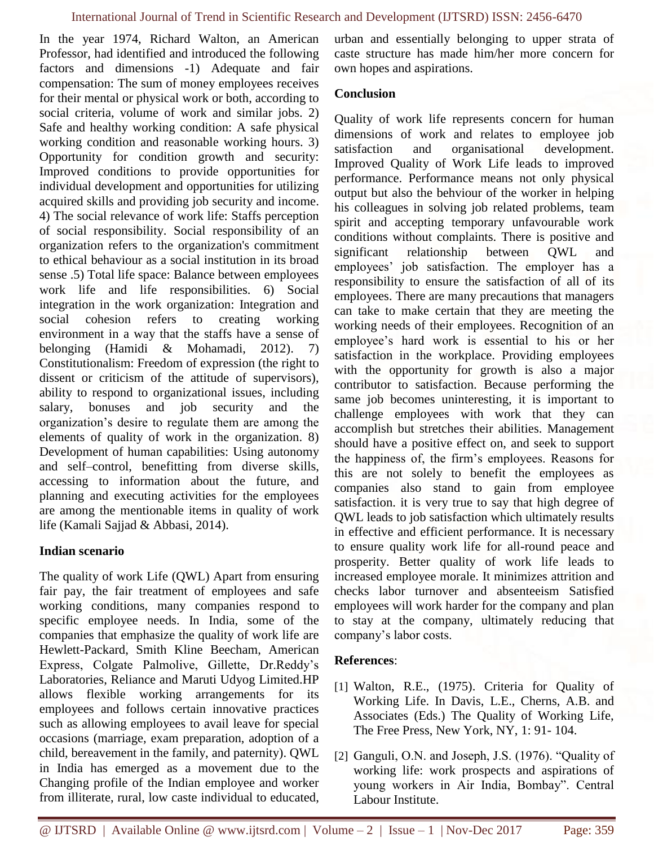In the year 1974, Richard Walton, an American Professor, had identified and introduced the following factors and dimensions -1) Adequate and fair compensation: The sum of money employees receives for their mental or physical work or both, according to social criteria, volume of work and similar jobs. 2) Safe and healthy working condition: A safe physical working condition and reasonable working hours. 3) Opportunity for condition growth and security: Improved conditions to provide opportunities for individual development and opportunities for utilizing acquired skills and providing job security and income. 4) The social relevance of work life: Staffs perception of social responsibility. Social responsibility of an organization refers to the organization's commitment to ethical behaviour as a social institution in its broad sense .5) Total life space: Balance between employees work life and life responsibilities. 6) Social integration in the work organization: Integration and social cohesion refers to creating working environment in a way that the staffs have a sense of belonging (Hamidi & Mohamadi, 2012). 7) Constitutionalism: Freedom of expression (the right to dissent or criticism of the attitude of supervisors), ability to respond to organizational issues, including salary, bonuses and job security and the organization's desire to regulate them are among the elements of quality of work in the organization. 8) Development of human capabilities: Using autonomy and self–control, benefitting from diverse skills, accessing to information about the future, and planning and executing activities for the employees are among the mentionable items in quality of work life (Kamali Sajjad & Abbasi, 2014).

#### **Indian scenario**

The quality of work Life (QWL) Apart from ensuring fair pay, the fair treatment of employees and safe working conditions, many companies respond to specific employee needs. In India, some of the companies that emphasize the quality of work life are Hewlett-Packard, Smith Kline Beecham, American Express, Colgate Palmolive, Gillette, Dr.Reddy's Laboratories, Reliance and Maruti Udyog Limited.HP allows flexible working arrangements for its employees and follows certain innovative practices such as allowing employees to avail leave for special occasions (marriage, exam preparation, adoption of a child, bereavement in the family, and paternity). QWL in India has emerged as a movement due to the Changing profile of the Indian employee and worker from illiterate, rural, low caste individual to educated,

urban and essentially belonging to upper strata of caste structure has made him/her more concern for own hopes and aspirations.

#### **Conclusion**

Quality of work life represents concern for human dimensions of work and relates to employee job satisfaction and organisational development. Improved Quality of Work Life leads to improved performance. Performance means not only physical output but also the behviour of the worker in helping his colleagues in solving job related problems, team spirit and accepting temporary unfavourable work conditions without complaints. There is positive and significant relationship between QWL and employees' job satisfaction. The employer has a responsibility to ensure the satisfaction of all of its employees. There are many precautions that managers can take to make certain that they are meeting the working needs of their employees. Recognition of an employee's hard work is essential to his or her satisfaction in the workplace. Providing employees with the opportunity for growth is also a major contributor to satisfaction. Because performing the same job becomes uninteresting, it is important to challenge employees with work that they can accomplish but stretches their abilities. Management should have a positive effect on, and seek to support the happiness of, the firm's employees. Reasons for this are not solely to benefit the employees as companies also stand to gain from employee satisfaction. it is very true to say that high degree of QWL leads to job satisfaction which ultimately results in effective and efficient performance. It is necessary to ensure quality work life for all-round peace and prosperity. Better quality of work life leads to increased employee morale. It minimizes attrition and checks labor turnover and absenteeism Satisfied employees will work harder for the company and plan to stay at the company, ultimately reducing that company's labor costs.

# **References**:

- [1] Walton, R.E., (1975). Criteria for Quality of Working Life. In Davis, L.E., Cherns, A.B. and Associates (Eds.) The Quality of Working Life, The Free Press, New York, NY, 1: 91- 104.
- [2] Ganguli, O.N. and Joseph, J.S. (1976). "Quality of working life: work prospects and aspirations of young workers in Air India, Bombay". Central Labour Institute.